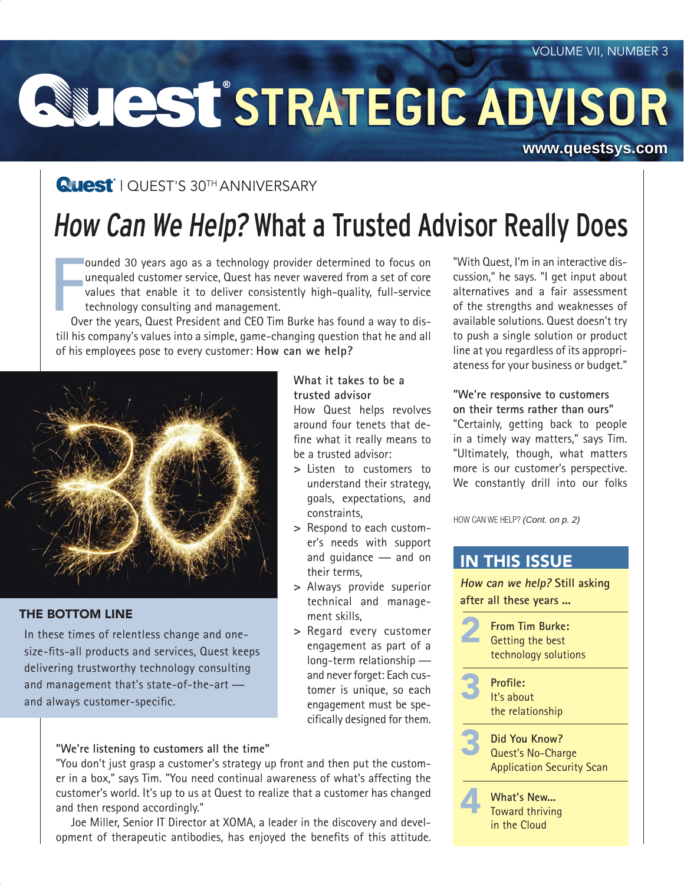# **STRATEGIC ADVISOR**

#### **[www.questsys.com](http://www.questsys.com)**

### **Quest**' | QUEST'S 30<sup>TH</sup> ANNIVERSARY

# How Can We Help? What a Trusted Advisor Really Does

**F**<br> $\frac{1}{2}$ ounded 30 years ago as a technology provider determined to focus on unequaled customer service, Quest has never wavered from a set of core values that enable it to deliver consistently high-quality, full-service technology consulting and management.

Over the years, Quest President and CEO Tim Burke has found a way to distill his company's values into a simple, game-changing question that he and all of his employees pose to every customer: **How can we help?**



#### THE BOTTOM LINE

In these times of relentless change and onesize-fits-all products and services, Quest keeps delivering trustworthy technology consulting and management that's state-of-the-art and always customer-specific.

#### **What it takes to be a trusted advisor**

How Quest helps revolves around four tenets that define what it really means to be a trusted advisor:

- **>** Listen to customers to understand their strategy, goals, expectations, and constraints,
- **>** Respond to each customer's needs with support and guidance — and on their terms,
- **>** Always provide superior technical and management skills,
- **>** Regard every customer engagement as part of a long-term relationship and never forget: Each customer is unique, so each engagement must be specifically designed for them.

#### **"We're listening to customers all the time"**

"You don't just grasp a customer's strategy up front and then put the customer in a box," says Tim. "You need continual awareness of what's affecting the customer's world. It's up to us at Quest to realize that a customer has changed and then respond accordingly."

Joe Miller, Senior IT Director at XOMA, a leader in the discovery and development of therapeutic antibodies, has enjoyed the benefits of this attitude. "With Quest, I'm in an interactive discussion," he says. "I get input about alternatives and a fair assessment of the strengths and weaknesses of available solutions. Quest doesn't try to push a single solution or product line at you regardless of its appropriateness for your business or budget."

**"We're responsive to customers on their terms rather than ours"** "Certainly, getting back to people in a timely way matters," says Tim. "Ultimately, though, what matters more is our customer's perspective. We constantly drill into our folks

HOW CAN WE HELP? *(Cont. on p. 2)*

#### IN THIS ISSUE

**How can we help? Still asking after all these years ...**

2 **From Tim Burke:** Getting the best technology solutions



the relationship



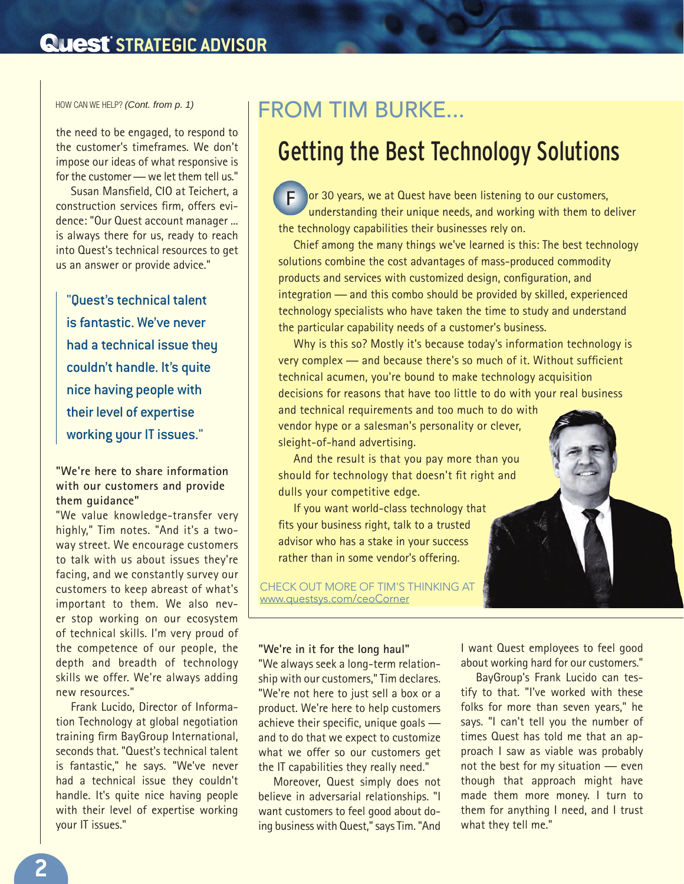### **Quest STRATEGIC ADVISOR**

the need to be engaged, to respond to the customer's timeframes. We don't impose our ideas of what responsive is for the customer — we let them tell us."

Susan Mansfield, CIO at Teichert, a construction services firm, offers evidence: "Our Quest account manager ... is always there for us, ready to reach into Quest's technical resources to get us an answer or provide advice."

"Quest's technical talent is fantastic. We've never had a technical issue they couldn't handle. It's quite nice having people with their level of expertise working your IT issues."

**"We're here to share information with our customers and provide them guidance"**

"We value knowledge-transfer very highly," Tim notes. "And it's a twoway street. We encourage customers to talk with us about issues they're facing, and we constantly survey our customers to keep abreast of what's important to them. We also never stop working on our ecosystem of technical skills. I'm very proud of the competence of our people, the depth and breadth of technology skills we offer. We're always adding new resources."

Frank Lucido, Director of Information Technology at global negotiation training firm BayGroup International, seconds that. "Quest's technical talent is fantastic," he says. "We've never had a technical issue they couldn't handle. It's quite nice having people with their level of expertise working your IT issues."

## HOW CAN WE HELP? *(Cont. from p. 1)* FROM TIM BURKE...

# Getting the Best Technology Solutions

or 30 years, we at Quest have been listening to our customers, understanding their unique needs, and working with them to deliver the technology capabilities their businesses rely on. **F**

Chief among the many things we've learned is this: The best technology solutions combine the cost advantages of mass-produced commodity products and services with customized design, configuration, and integration — and this combo should be provided by skilled, experienced technology specialists who have taken the time to study and understand the particular capability needs of a customer's business.

Why is this so? Mostly it's because today's information technology is very complex — and because there's so much of it. Without sufficient technical acumen, you're bound to make technology acquisition decisions for reasons that have too little to do with your real business

and technical requirements and too much to do with vendor hype or a salesman's personality or clever, sleight-of-hand advertising.

And the result is that you pay more than you should for technology that doesn't fit right and dulls your competitive edge.

If you want world-class technology that fits your business right, talk to a trusted advisor who has a stake in your success rather than in some vendor's offering.

CHECK OUT MORE OF TIM'S THINKING AT [www.questsys.com/ceoCorner](http://www.questsys.com/ceoCorner)

#### **"We're in it for the long haul"**

"We always seek a long-term relationship with our customers," Tim declares. "We're not here to just sell a box or a product. We're here to help customers achieve their specific, unique goals and to do that we expect to customize what we offer so our customers get the IT capabilities they really need."

Moreover, Quest simply does not believe in adversarial relationships. "I want customers to feel good about doing business with Quest," says Tim. "And I want Quest employees to feel good about working hard for our customers."

BayGroup's Frank Lucido can testify to that. "I've worked with these folks for more than seven years," he says. "I can't tell you the number of times Quest has told me that an approach I saw as viable was probably not the best for my situation — even though that approach might have made them more money. I turn to them for anything I need, and I trust what they tell me."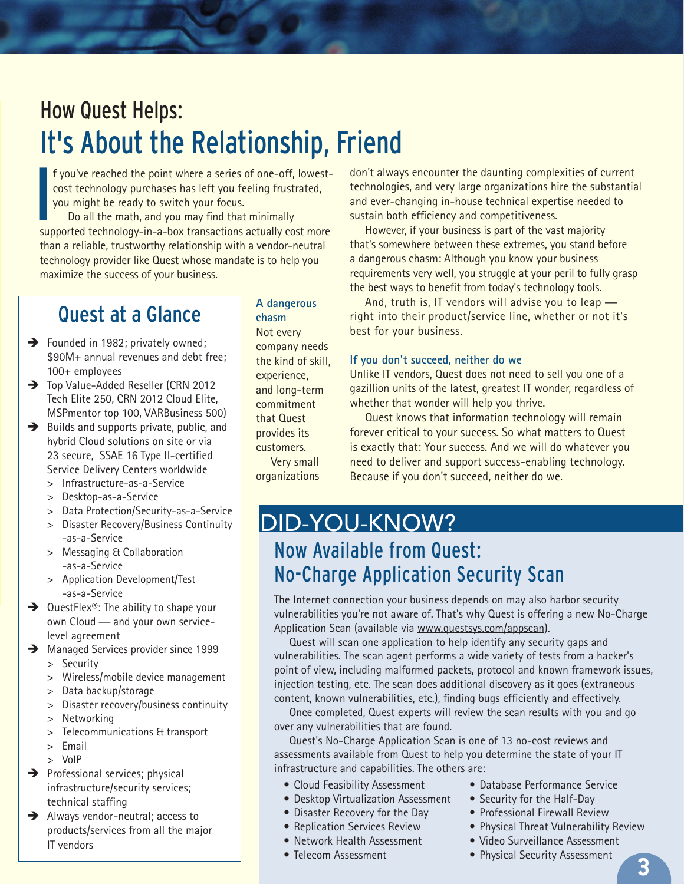# How Quest Helps: It's About the Relationship, Friend

f you've reached the point where a series of one-off, lowestcost technology purchases has left you feeling frustrated, you might be ready to switch your focus.

**I**<br>I<br>Sur Do all the math, and you may find that minimally supported technology-in-a-box transactions actually cost more than a reliable, trustworthy relationship with a vendor-neutral technology provider like Quest whose mandate is to help you maximize the success of your business.

# Quest at a Glance

- $\rightarrow$  Founded in 1982; privately owned; \$90M+ annual revenues and debt free; 100+ employees
- $\rightarrow$  Top Value-Added Reseller (CRN 2012 Tech Elite 250, CRN 2012 Cloud Elite, MSPmentor top 100, VARBusiness 500)
- $\rightarrow$  Builds and supports private, public, and hybrid Cloud solutions on site or via 23 secure, SSAE 16 Type II-certified Service Delivery Centers worldwide
	- > Infrastructure-as-a-Service
	- > Desktop-as-a-Service
	- > Data Protection/Security-as-a-Service
	- > Disaster Recovery/Business Continuity -as-a-Service
	- > Messaging & Collaboration -as-a-Service
	- > Application Development/Test -as-a-Service
- $\rightarrow$  QuestFlex®: The ability to shape your own Cloud — and your own servicelevel agreement
- $\rightarrow$  Managed Services provider since 1999 > Security
	- > Wireless/mobile device management
	- > Data backup/storage
	- > Disaster recovery/business continuity
	- > Networking
	- > Telecommunications & transport
	- > Email
	- > VoIP
- $\rightarrow$  Professional services; physical infrastructure/security services; technical staffing
- $\rightarrow$  Always vendor-neutral; access to products/services from all the major IT vendors

#### **A dangerous chasm**

Not every company needs the kind of skill, experience, and long-term commitment that Quest provides its customers. Very small organizations

don't always encounter the daunting complexities of current technologies, and very large organizations hire the substantial and ever-changing in-house technical expertise needed to sustain both efficiency and competitiveness.

However, if your business is part of the vast majority that's somewhere between these extremes, you stand before a dangerous chasm: Although you know your business requirements very well, you struggle at your peril to fully grasp the best ways to benefit from today's technology tools.

And, truth is, IT vendors will advise you to leap right into their product/service line, whether or not it's best for your business.

#### **If you don't succeed, neither do we**

Unlike IT vendors, Quest does not need to sell you one of a gazillion units of the latest, greatest IT wonder, regardless of whether that wonder will help you thrive.

Quest knows that information technology will remain forever critical to your success. So what matters to Quest is exactly that: Your success. And we will do whatever you need to deliver and support success-enabling technology. Because if you don't succeed, neither do we.

# DID-YOU-KNOW?

### Now Available from Quest: No-Charge Application Security Scan

The Internet connection your business depends on may also harbor security vulnerabilities you're not aware of. That's why Quest is offering a new No-Charge Application Scan (available via [www.questsys.com/appscan\)](www.questsys.com/appscan).

Quest will scan one application to help identify any security gaps and vulnerabilities. The scan agent performs a wide variety of tests from a hacker's point of view, including malformed packets, protocol and known framework issues, injection testing, etc. The scan does additional discovery as it goes (extraneous content, known vulnerabilities, etc.), finding bugs efficiently and effectively.

Once completed, Quest experts will review the scan results with you and go over any vulnerabilities that are found.

Quest's No-Charge Application Scan is one of 13 no-cost reviews and assessments available from Quest to help you determine the state of your IT infrastructure and capabilities. The others are:

- Cloud Feasibility Assessment
- Desktop Virtualization Assessment
- Disaster Recovery for the Day
- Replication Services Review
- Network Health Assessment
- Telecom Assessment
- Database Performance Service
- Security for the Half-Day
- Professional Firewall Review
- Physical Threat Vulnerability Review
- Video Surveillance Assessment
- Physical Security Assessment